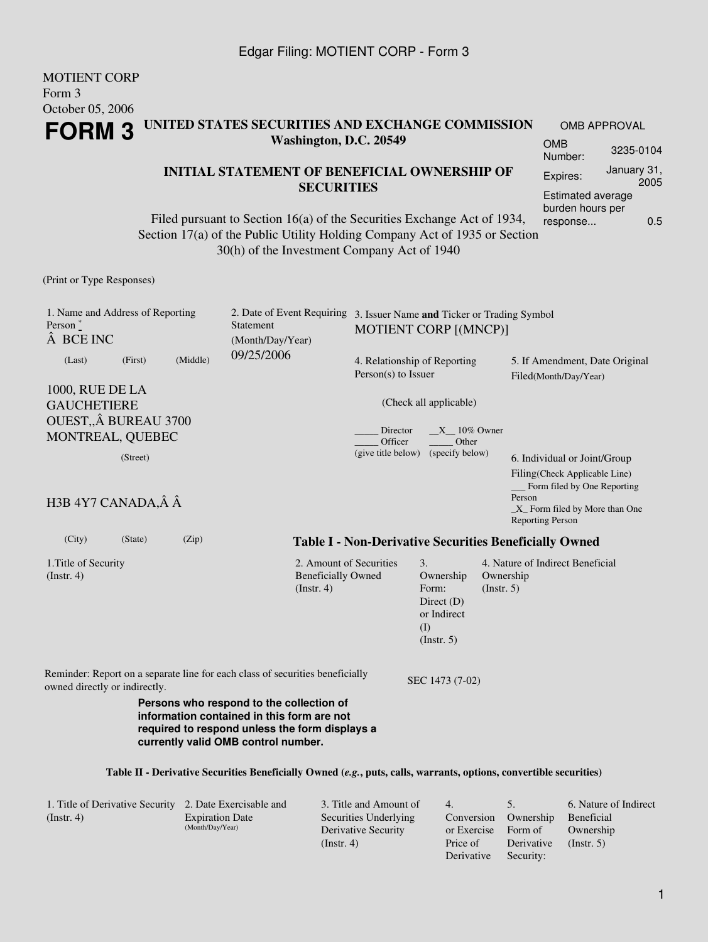MOTIENT CORP

October 05, 2006

Form 3

#### **Table II - Derivative Securities Beneficially Owned (***e.g.***, puts, calls, warrants, options, convertible securities)**

| 1. Title of Derivative Security 2. Date Exercisable and |                        | 3. Title and Amount of | 4.                   |            | 6. Nature of Indirect |
|---------------------------------------------------------|------------------------|------------------------|----------------------|------------|-----------------------|
| (Insert. 4)                                             | <b>Expiration Date</b> | Securities Underlying  | Conversion Ownership |            | Beneficial            |
|                                                         | (Month/Day/Year)       | Derivative Security    | or Exercise          | Form of    | Ownership             |
|                                                         |                        | (Insert, 4)            | Price of             | Derivative | $($ Instr. 5 $)$      |
|                                                         |                        |                        | Derivative           | Security:  |                       |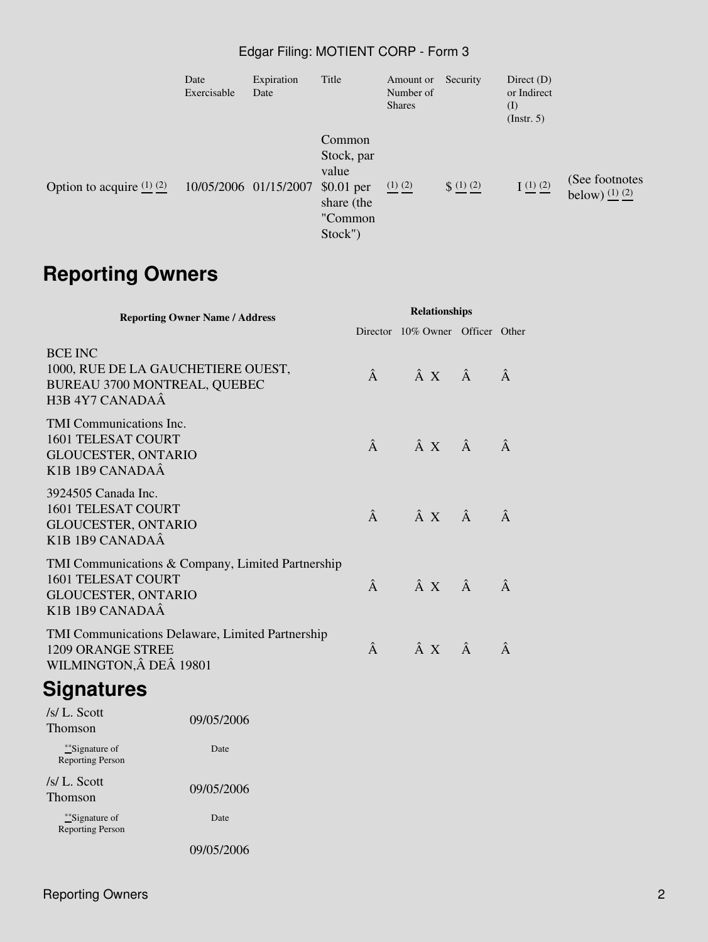### Edgar Filing: MOTIENT CORP - Form 3

|                               | Date<br>Exercisable   | Expiration<br>Date | Title                                                                            | Amount or<br>Number of<br><b>Shares</b> | Security     | Direct $(D)$<br>or Indirect<br>$\rm (I)$<br>$($ Instr. 5 $)$ |                                      |
|-------------------------------|-----------------------|--------------------|----------------------------------------------------------------------------------|-----------------------------------------|--------------|--------------------------------------------------------------|--------------------------------------|
| Option to acquire $(1)$ $(2)$ | 10/05/2006 01/15/2007 |                    | Common<br>Stock, par<br>value<br>$$0.01$ per<br>share (the<br>"Common<br>Stock") | $(1)$ $(2)$                             | $\S$ (1) (2) | $I(1)$ $(2)$                                                 | (See footnotes<br>below) $(1)$ $(2)$ |

# **Reporting Owners**

| <b>Reporting Owner Name / Address</b>                                                                                                                                | <b>Relationships</b> |                                         |           |   |  |
|----------------------------------------------------------------------------------------------------------------------------------------------------------------------|----------------------|-----------------------------------------|-----------|---|--|
|                                                                                                                                                                      |                      | Director 10% Owner Officer Other        |           |   |  |
| <b>BCE INC</b><br>1000, RUE DE LA GAUCHETIERE OUEST,<br>BUREAU 3700 MONTREAL, QUEBEC<br>H <sub>3</sub> B 4Y7 CANADAÂ                                                 |                      | $\hat{A}$ $\hat{A}$ $X$ $\hat{A}$       |           | Â |  |
| <b>TMI Communications Inc.</b><br><b>1601 TELESAT COURT</b><br><b>GLOUCESTER, ONTARIO</b><br>K <sub>1</sub> B <sub>1</sub> B <sub>9</sub> CANADAÂ                    |                      | $\hat{A}$ $\hat{A}$ $\hat{X}$ $\hat{A}$ |           | Â |  |
| 3924505 Canada Inc.<br><b>1601 TELESAT COURT</b><br><b>GLOUCESTER, ONTARIO</b><br>K <sub>1</sub> B <sub>1</sub> B <sub>9</sub> CANADAÂ                               |                      | $\hat{A}$ $\hat{A}$ $\hat{X}$ $\hat{A}$ |           | Â |  |
| TMI Communications & Company, Limited Partnership<br><b>1601 TELESAT COURT</b><br><b>GLOUCESTER, ONTARIO</b><br>K <sub>1</sub> B <sub>1</sub> B <sub>9</sub> CANADAÂ | $\hat{A}$            | $\hat{A} \times \hat{A}$                |           |   |  |
| <b>TMI Communications Delaware, Limited Partnership</b><br>1209 ORANGE STREE<br>WILMINGTON, Â DEÂ 19801                                                              | Â                    | $\hat{A} X$                             | $\hat{A}$ | Â |  |

## **Signatures**

| $/s/L$ Scott<br>Thomson                           | 09/05/2006 |
|---------------------------------------------------|------------|
| ** <i>Signature</i> of<br><b>Reporting Person</b> | Date       |
| $/s/L$ . Scott<br>Thomson                         | 09/05/2006 |
| ** <i>Signature</i> of<br><b>Reporting Person</b> | Date       |
|                                                   | 09/05/2006 |